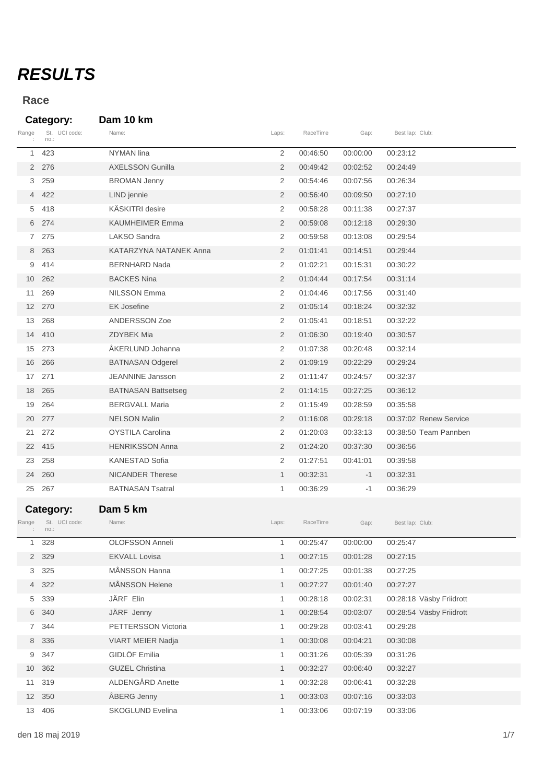## *RESULTS*

## **Race**

**Category: Dam 10 km**

| Range          | St. UCI code:<br>no.:              | Name:                      | Laps:        | RaceTime | Gap:     | Best lap: Club:          |  |
|----------------|------------------------------------|----------------------------|--------------|----------|----------|--------------------------|--|
| 1              | 423                                | <b>NYMAN</b> lina          | 2            | 00:46:50 | 00:00:00 | 00:23:12                 |  |
|                | 2 276                              | <b>AXELSSON Gunilla</b>    | 2            | 00:49:42 | 00:02:52 | 00:24:49                 |  |
| 3              | 259                                | <b>BROMAN Jenny</b>        | 2            | 00:54:46 | 00:07:56 | 00:26:34                 |  |
| $\overline{4}$ | 422                                | LIND jennie                | 2            | 00:56:40 | 00:09:50 | 00:27:10                 |  |
| 5              | 418                                | KÄSKITRI desire            | 2            | 00:58:28 | 00:11:38 | 00:27:37                 |  |
|                | 6 274                              | <b>KAUMHEIMER Emma</b>     | 2            | 00:59:08 | 00:12:18 | 00:29:30                 |  |
| $7^{\circ}$    | 275                                | LAKSO Sandra               | 2            | 00:59:58 | 00:13:08 | 00:29:54                 |  |
| 8              | 263                                | KATARZYNA NATANEK Anna     | 2            | 01:01:41 | 00:14:51 | 00:29:44                 |  |
| 9              | 414                                | <b>BERNHARD Nada</b>       | 2            | 01:02:21 | 00:15:31 | 00:30:22                 |  |
| 10             | 262                                | <b>BACKES Nina</b>         | 2            | 01:04:44 | 00:17:54 | 00:31:14                 |  |
| 11             | 269                                | <b>NILSSON Emma</b>        | 2            | 01:04:46 | 00:17:56 | 00:31:40                 |  |
| 12             | 270                                | <b>EK Josefine</b>         | 2            | 01:05:14 | 00:18:24 | 00:32:32                 |  |
| 13             | 268                                | <b>ANDERSSON Zoe</b>       | 2            | 01:05:41 | 00:18:51 | 00:32:22                 |  |
| 14             | 410                                | <b>ZDYBEK Mia</b>          | 2            | 01:06:30 | 00:19:40 | 00:30:57                 |  |
| 15             | 273                                | ÅKERLUND Johanna           | 2            | 01:07:38 | 00:20:48 | 00:32:14                 |  |
| 16             | 266                                | <b>BATNASAN Odgerel</b>    | 2            | 01:09:19 | 00:22:29 | 00:29:24                 |  |
| 17             | 271                                | <b>JEANNINE Jansson</b>    | 2            | 01:11:47 | 00:24:57 | 00:32:37                 |  |
| 18             | 265                                | <b>BATNASAN Battsetseg</b> | 2            | 01:14:15 | 00:27:25 | 00:36:12                 |  |
| 19             | 264                                | <b>BERGVALL Maria</b>      | 2            | 01:15:49 | 00:28:59 | 00:35:58                 |  |
| 20             | 277                                | <b>NELSON Malin</b>        | 2            | 01:16:08 | 00:29:18 | 00:37:02 Renew Service   |  |
| 21             | 272                                | <b>OYSTILA Carolina</b>    | 2            | 01:20:03 | 00:33:13 | 00:38:50 Team Pannben    |  |
| 22             | 415                                | <b>HENRIKSSON Anna</b>     | 2            | 01:24:20 | 00:37:30 | 00:36:56                 |  |
| 23             | 258                                | <b>KANESTAD Sofia</b>      | 2            | 01:27:51 | 00:41:01 | 00:39:58                 |  |
| 24             | 260                                | <b>NICANDER Therese</b>    | $\mathbf{1}$ | 00:32:31 | $-1$     | 00:32:31                 |  |
| 25             | 267                                | <b>BATNASAN Tsatral</b>    | 1            | 00:36:29 | $-1$     | 00:36:29                 |  |
| Range          | Category:<br>St. UCI code:<br>no.: | Dam 5 km<br>Name:          | Laps:        | RaceTime | Gap:     | Best lap: Club:          |  |
|                | 328                                | OLOFSSON Anneli            | 1            | 00:25:47 | 00:00:00 | 00:25:47                 |  |
|                | 2 329                              | <b>EKVALL Lovisa</b>       | 1            | 00:27:15 | 00:01:28 | 00:27:15                 |  |
| 3              | 325                                | MÅNSSON Hanna              | 1            | 00:27:25 | 00:01:38 | 00:27:25                 |  |
| 4              | 322                                | MÅNSSON Helene             | $\mathbf{1}$ | 00:27:27 | 00:01:40 | 00:27:27                 |  |
| 5              | 339                                | JÄRF Elin                  | 1            | 00:28:18 | 00:02:31 | 00:28:18 Väsby Friidrott |  |
|                | 6 340                              | JÄRF Jenny                 | $\mathbf{1}$ | 00:28:54 | 00:03:07 | 00:28:54 Väsby Friidrott |  |
| $7^{\circ}$    | 344                                | PETTERSSON Victoria        | 1            | 00:29:28 | 00:03:41 | 00:29:28                 |  |
|                | 8 336                              | VIART MEIER Nadja          | $\mathbf{1}$ | 00:30:08 | 00:04:21 | 00:30:08                 |  |
| 9              | 347                                | <b>GIDLÖF Emilia</b>       | 1            | 00:31:26 | 00:05:39 | 00:31:26                 |  |
| 10             | 362                                | <b>GUZEL Christina</b>     | $\mathbf{1}$ | 00:32:27 | 00:06:40 | 00:32:27                 |  |
| 11             | 319                                | ALDENGÅRD Anette           | $\mathbf{1}$ | 00:32:28 | 00:06:41 | 00:32:28                 |  |
|                | 12 350                             | ÅBERG Jenny                | $\mathbf{1}$ | 00:33:03 | 00:07:16 | 00:33:03                 |  |
|                | 13 406                             | SKOGLUND Evelina           | $\mathbf{1}$ | 00:33:06 | 00:07:19 | 00:33:06                 |  |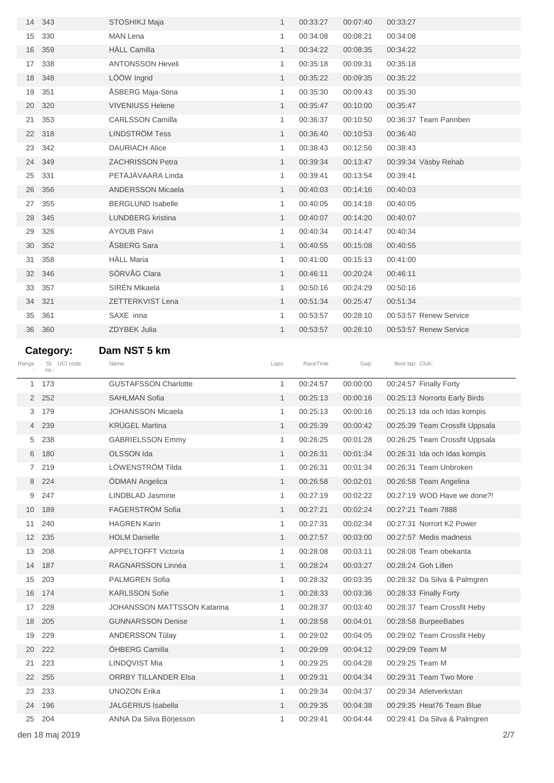| 14              | 343                   | STOSHIKJ Maja                                 | $\mathbf{1}$ | 00:33:27             | 00:07:40             | 00:33:27                                                  |  |
|-----------------|-----------------------|-----------------------------------------------|--------------|----------------------|----------------------|-----------------------------------------------------------|--|
| 15              | 330                   | <b>MAN Lena</b>                               | 1            | 00:34:08             | 00:08:21             | 00:34:08                                                  |  |
| 16              | 359                   | <b>HÄLL Camilla</b>                           | $\mathbf{1}$ | 00:34:22             | 00:08:35             | 00:34:22                                                  |  |
| 17              | 338                   | <b>ANTONSSON Heveli</b>                       | $\mathbf{1}$ | 00:35:18             | 00:09:31             | 00:35:18                                                  |  |
| 18              | 348                   | LÖÖW Ingrid                                   | $\mathbf{1}$ | 00:35:22             | 00:09:35             | 00:35:22                                                  |  |
| 19              | 351                   | ÅSBERG Maja-Stina                             | 1            | 00:35:30             | 00:09:43             | 00:35:30                                                  |  |
| 20              | 320                   | <b>VIVENIUSS Helene</b>                       | $\mathbf{1}$ | 00:35:47             | 00:10:00             | 00:35:47                                                  |  |
| 21              | 353                   | <b>CARLSSON Camilla</b>                       | $\mathbf{1}$ | 00:36:37             | 00:10:50             | 00:36:37 Team Pannben                                     |  |
| 22              | 318                   | <b>LINDSTRÖM Tess</b>                         | $\mathbf{1}$ | 00:36:40             | 00:10:53             | 00:36:40                                                  |  |
| 23              | 342                   | <b>DAURIACH Alice</b>                         | 1            | 00:38:43             | 00:12:56             | 00:38:43                                                  |  |
| 24              | 349                   | <b>ZACHRISSON Petra</b>                       | $\mathbf{1}$ | 00:39:34             | 00:13:47             | 00:39:34 Väsby Rehab                                      |  |
| 25              | 331                   | PETÄJÄVAARA Linda                             | $\mathbf{1}$ | 00:39:41             | 00:13:54             | 00:39:41                                                  |  |
| 26              | 356                   | <b>ANDERSSON Micaela</b>                      | $\mathbf{1}$ | 00:40:03             | 00:14:16             | 00:40:03                                                  |  |
| 27              | 355                   | <b>BERGLUND Isabelle</b>                      | 1            | 00:40:05             | 00:14:18             | 00:40:05                                                  |  |
| 28              | 345                   | <b>LUNDBERG</b> kristina                      | $\mathbf{1}$ | 00:40:07             | 00:14:20             | 00:40:07                                                  |  |
| 29              | 326                   | <b>AYOUB Päivi</b>                            | $\mathbf{1}$ | 00:40:34             | 00:14:47             | 00:40:34                                                  |  |
| 30              | 352                   | ÅSBERG Sara                                   | $\mathbf{1}$ | 00:40:55             | 00:15:08             | 00:40:55                                                  |  |
| 31              | 358                   | <b>HÄLL Maria</b>                             | 1            | 00:41:00             | 00:15:13             | 00:41:00                                                  |  |
| 32              | 346                   | SÖRVÅG Clara                                  | $\mathbf{1}$ | 00:46:11             | 00:20:24             | 00:46:11                                                  |  |
| 33              | 357                   | SIRÉN Mikaela                                 | 1            | 00:50:16             | 00:24:29             | 00:50:16                                                  |  |
| 34              | 321                   | ZETTERKVIST Lena                              | $\mathbf{1}$ | 00:51:34             | 00:25:47             | 00:51:34                                                  |  |
| 35              | 361                   | SAXE inna                                     | 1            | 00:53:57             | 00:28:10             | 00:53:57 Renew Service                                    |  |
| 36              | 360                   | ZDYBEK Julia                                  | $\mathbf{1}$ | 00:53:57             | 00:28:10             | 00:53:57 Renew Service                                    |  |
|                 |                       |                                               |              |                      |                      |                                                           |  |
|                 |                       |                                               |              |                      |                      |                                                           |  |
|                 | Category:             | Dam NST 5 km                                  |              |                      |                      |                                                           |  |
| Range           | St. UCI code:<br>no.: | Name:                                         | Laps:        | RaceTime             | Gap:                 | Best lap: Club:                                           |  |
| 1               | 173                   | <b>GUSTAFSSON Charlotte</b>                   | $\mathbf{1}$ | 00:24:57             | 00:00:00             | 00:24:57 Finally Forty                                    |  |
|                 | 2 252                 | <b>SAHLMAN Sofia</b>                          | $\mathbf{1}$ | 00:25:13             | 00:00:16             | 00:25:13 Norrorts Early Birds                             |  |
| 3               | 179                   | <b>JOHANSSON Micaela</b>                      | 1            | 00:25:13             | 00:00:16             | 00:25:13 Ida och Idas kompis                              |  |
| 4               | 239                   | <b>KRUGEL Martina</b>                         | $\mathbf{1}$ | 00:25:39             | 00:00:42             | 00:25:39 Team Crossfit Uppsala                            |  |
| 5               | 238                   | <b>GABRIELSSON Emmy</b>                       | 1            | 00:26:25             | 00:01:28             | 00:26:25 Team Crossfit Uppsala                            |  |
| 6               | 180                   | OLSSON Ida                                    | $\mathbf{1}$ | 00:26:31             | 00:01:34             | 00:26:31 Ida och Idas kompis                              |  |
| $7^{\circ}$     | 219                   | LÖWENSTRÖM Tilda                              | 1            | 00:26:31             | 00:01:34             | 00:26:31 Team Unbroken                                    |  |
| 8               | 224                   | ÖDMAN Angelica                                | $\mathbf{1}$ | 00:26:58             | 00:02:01             | 00:26:58 Team Angelina                                    |  |
| 9               | 247                   | LINDBLAD Jasmine                              | 1            | 00:27:19             | 00:02:22             | 00:27:19 WOD Have we done?!                               |  |
| 10              | 189                   | FAGERSTRÖM Sofia                              | $\mathbf{1}$ | 00:27:21             | 00:02:24             | 00:27:21 Team 7888                                        |  |
| 11              | 240                   | <b>HAGREN Karin</b>                           | 1            | 00:27:31             | 00:02:34             | 00:27:31 Norrort K2 Power                                 |  |
| 12 <sup>2</sup> | 235                   | <b>HOLM Danielle</b>                          | $\mathbf{1}$ | 00:27:57             | 00:03:00             | 00:27:57 Medis madness                                    |  |
| 13              | 208                   | <b>APPELTOFFT Victoria</b>                    | 1            | 00:28:08             | 00:03:11             | 00:28:08 Team obekanta                                    |  |
| 14              | 187                   | RAGNARSSON Linnéa                             | $\mathbf{1}$ | 00:28:24             | 00:03:27             | 00:28:24 Goh Lillen                                       |  |
| 15              | 203                   | <b>PALMGREN Sofia</b>                         | 1            | 00:28:32             | 00:03:35             | 00:28:32 Da Silva & Palmgren                              |  |
| 16              | 174                   | <b>KARLSSON Sofie</b>                         | $\mathbf{1}$ | 00:28:33             | 00:03:36             | 00:28:33 Finally Forty                                    |  |
| 17              | 228                   | <b>JOHANSSON MATTSSON Katarina</b>            | 1            | 00:28:37             | 00:03:40             | 00:28:37 Team Crossfit Heby                               |  |
| 18              | 205                   | <b>GUNNARSSON Denise</b>                      | $\mathbf{1}$ | 00:28:58             | 00:04:01             | 00:28:58 BurpeeBabes                                      |  |
| 19              | 229                   | ANDERSSON Tűlay                               | 1            | 00:29:02             | 00:04:05             | 00:29:02 Team Crossfit Heby                               |  |
| 20              | 222                   | ÖHBERG Camilla                                | $\mathbf{1}$ | 00:29:09             | 00:04:12             | 00:29:09 Team M                                           |  |
| 21              | 223                   | LINDQVIST Mia                                 | 1            | 00:29:25             | 00:04:28             | 00:29:25 Team M                                           |  |
| 22              | 255                   | ORRBY TILLANDER Elsa                          | $\mathbf{1}$ |                      | 00:04:34             | 00:29:31 Team Two More                                    |  |
| 23              | 233                   | <b>UNOZON Erika</b>                           | 1            | 00:29:31<br>00:29:34 | 00:04:37             | 00:29:34 Atletverkstan                                    |  |
| 24              |                       |                                               | $\mathbf{1}$ |                      |                      |                                                           |  |
| 25              | 196<br>204            | JALGERIUS Isabella<br>ANNA Da Silva Börjesson | 1            | 00:29:35<br>00:29:41 | 00:04:38<br>00:04:44 | 00:29:35 Heat76 Team Blue<br>00:29:41 Da Silva & Palmgren |  |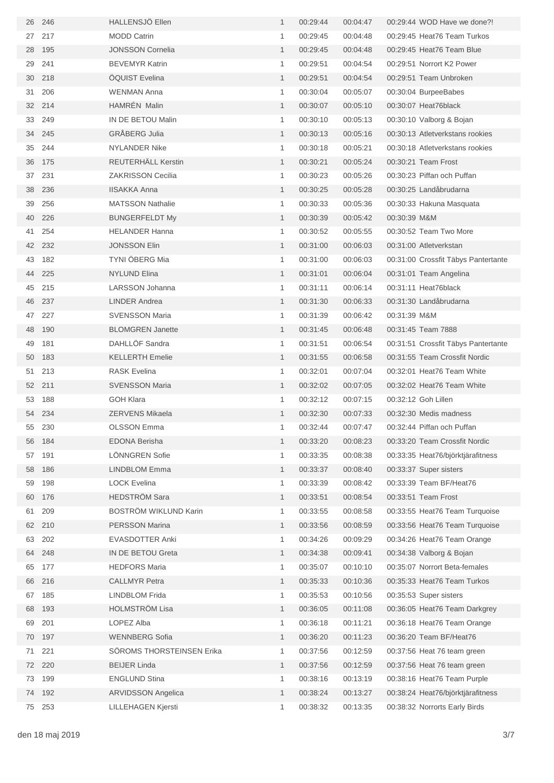| 26 | 246 | HALLENSJÖ Ellen           | $\mathbf{1}$ | 00:29:44 | 00:04:47 | 00:29:44 WOD Have we done?!         |
|----|-----|---------------------------|--------------|----------|----------|-------------------------------------|
| 27 | 217 | <b>MODD Catrin</b>        | 1            | 00:29:45 | 00:04:48 | 00:29:45 Heat76 Team Turkos         |
| 28 | 195 | <b>JONSSON Cornelia</b>   | $\mathbf{1}$ | 00:29:45 | 00:04:48 | 00:29:45 Heat76 Team Blue           |
| 29 | 241 | <b>BEVEMYR Katrin</b>     | $\mathbf{1}$ | 00:29:51 | 00:04:54 | 00:29:51 Norrort K2 Power           |
| 30 | 218 | <b>OQUIST Evelina</b>     | $\mathbf{1}$ | 00:29:51 | 00:04:54 | 00:29:51 Team Unbroken              |
| 31 | 206 | <b>WENMAN Anna</b>        | $\mathbf{1}$ | 00:30:04 | 00:05:07 | 00:30:04 BurpeeBabes                |
| 32 | 214 | <b>HAMRÉN Malin</b>       | $\mathbf{1}$ | 00:30:07 | 00:05:10 | 00:30:07 Heat76black                |
| 33 | 249 | IN DE BETOU Malin         | 1            | 00:30:10 | 00:05:13 | 00:30:10 Valborg & Bojan            |
| 34 | 245 | <b>GRÅBERG Julia</b>      | $\mathbf{1}$ | 00:30:13 | 00:05:16 | 00:30:13 Atletverkstans rookies     |
| 35 | 244 | <b>NYLANDER Nike</b>      | 1            | 00:30:18 | 00:05:21 | 00:30:18 Atletverkstans rookies     |
| 36 | 175 | REUTERHÄLL Kerstin        | $\mathbf{1}$ | 00:30:21 | 00:05:24 | 00:30:21 Team Frost                 |
| 37 | 231 | <b>ZAKRISSON Cecilia</b>  | 1            | 00:30:23 | 00:05:26 | 00:30:23 Piffan och Puffan          |
| 38 | 236 | <b>IISAKKA Anna</b>       | $\mathbf{1}$ | 00:30:25 | 00:05:28 | 00:30:25 Landåbrudarna              |
| 39 | 256 | <b>MATSSON Nathalie</b>   | 1            | 00:30:33 | 00:05:36 | 00:30:33 Hakuna Masquata            |
| 40 | 226 | <b>BUNGERFELDT My</b>     | $\mathbf{1}$ | 00:30:39 | 00:05:42 | 00:30:39 M&M                        |
| 41 | 254 | <b>HELANDER Hanna</b>     | 1            | 00:30:52 | 00:05:55 | 00:30:52 Team Two More              |
| 42 | 232 | <b>JONSSON Elin</b>       | $\mathbf{1}$ | 00:31:00 | 00:06:03 | 00:31:00 Atletverkstan              |
| 43 | 182 | TYNI ÖBERG Mia            | 1            | 00:31:00 | 00:06:03 | 00:31:00 Crossfit Täbys Pantertante |
| 44 | 225 | <b>NYLUND Elina</b>       | $\mathbf{1}$ | 00:31:01 | 00:06:04 | 00:31:01 Team Angelina              |
| 45 | 215 | LARSSON Johanna           | $\mathbf{1}$ | 00:31:11 | 00:06:14 | 00:31:11 Heat76black                |
| 46 | 237 | <b>LINDER Andrea</b>      | $\mathbf{1}$ | 00:31:30 | 00:06:33 | 00:31:30 Landåbrudarna              |
| 47 | 227 | <b>SVENSSON Maria</b>     | $\mathbf{1}$ | 00:31:39 | 00:06:42 | 00:31:39 M&M                        |
| 48 | 190 | <b>BLOMGREN Janette</b>   | $\mathbf{1}$ | 00:31:45 | 00:06:48 | 00:31:45 Team 7888                  |
| 49 | 181 | DAHLLÖF Sandra            | $\mathbf{1}$ | 00:31:51 | 00:06:54 | 00:31:51 Crossfit Täbys Pantertante |
| 50 | 183 | <b>KELLERTH Emelie</b>    | $\mathbf{1}$ | 00:31:55 | 00:06:58 | 00:31:55 Team Crossfit Nordic       |
| 51 | 213 | <b>RASK Evelina</b>       | $\mathbf{1}$ | 00:32:01 | 00:07:04 | 00:32:01 Heat76 Team White          |
| 52 | 211 | <b>SVENSSON Maria</b>     | $\mathbf{1}$ | 00:32:02 | 00:07:05 | 00:32:02 Heat76 Team White          |
| 53 | 188 | <b>GOH Klara</b>          | $\mathbf{1}$ | 00:32:12 | 00:07:15 | 00:32:12 Goh Lillen                 |
| 54 | 234 | ZERVENS Mikaela           | $\mathbf{1}$ | 00:32:30 | 00:07:33 | 00:32:30 Medis madness              |
| 55 | 230 | <b>OLSSON Emma</b>        | $\mathbf{1}$ | 00:32:44 | 00:07:47 | 00:32:44 Piffan och Puffan          |
| 56 | 184 | <b>EDONA Berisha</b>      | $\mathbf{1}$ | 00:33:20 | 00:08:23 | 00:33:20 Team Crossfit Nordic       |
| 57 | 191 | LÖNNGREN Sofie            | 1            | 00:33:35 | 00:08:38 | 00:33:35 Heat76/björktjärafitness   |
| 58 | 186 | <b>LINDBLOM Emma</b>      | $\mathbf{1}$ | 00:33:37 | 00:08:40 | 00:33:37 Super sisters              |
| 59 | 198 | <b>LOCK Evelina</b>       | 1            | 00:33:39 | 00:08:42 | 00:33:39 Team BF/Heat76             |
| 60 | 176 | <b>HEDSTRÖM Sara</b>      | $\mathbf{1}$ | 00:33:51 | 00:08:54 | 00:33:51 Team Frost                 |
| 61 | 209 | BOSTRÖM WIKLUND Karin     | 1            | 00:33:55 | 00:08:58 | 00:33:55 Heat76 Team Turquoise      |
| 62 | 210 | <b>PERSSON Marina</b>     | $\mathbf{1}$ | 00:33:56 | 00:08:59 | 00:33:56 Heat76 Team Turquoise      |
| 63 | 202 | <b>EVASDOTTER Anki</b>    | 1            | 00:34:26 | 00:09:29 | 00:34:26 Heat76 Team Orange         |
| 64 | 248 | IN DE BETOU Greta         | $\mathbf{1}$ | 00:34:38 | 00:09:41 | 00:34:38 Valborg & Bojan            |
| 65 | 177 | <b>HEDFORS Maria</b>      | $\mathbf{1}$ | 00:35:07 | 00:10:10 | 00:35:07 Norrort Beta-females       |
| 66 | 216 | <b>CALLMYR Petra</b>      | $\mathbf{1}$ | 00:35:33 | 00:10:36 | 00:35:33 Heat76 Team Turkos         |
| 67 | 185 | <b>LINDBLOM Frida</b>     | 1            | 00:35:53 | 00:10:56 | 00:35:53 Super sisters              |
| 68 | 193 | <b>HOLMSTRÖM Lisa</b>     | $\mathbf{1}$ | 00:36:05 | 00:11:08 | 00:36:05 Heat76 Team Darkgrey       |
| 69 | 201 | LOPEZ Alba                | 1            | 00:36:18 | 00:11:21 | 00:36:18 Heat76 Team Orange         |
| 70 | 197 | <b>WENNBERG Sofia</b>     | $\mathbf{1}$ | 00:36:20 | 00:11:23 | 00:36:20 Team BF/Heat76             |
| 71 | 221 | SÖROMS THORSTEINSEN Erika | 1            | 00:37:56 | 00:12:59 | 00:37:56 Heat 76 team green         |
| 72 | 220 | <b>BEIJER Linda</b>       | $\mathbf{1}$ | 00:37:56 | 00:12:59 | 00:37:56 Heat 76 team green         |
| 73 | 199 | <b>ENGLUND Stina</b>      | $\mathbf{1}$ | 00:38:16 | 00:13:19 | 00:38:16 Heat76 Team Purple         |
| 74 | 192 | <b>ARVIDSSON Angelica</b> | $\mathbf{1}$ | 00:38:24 | 00:13:27 | 00:38:24 Heat76/björktjärafitness   |
| 75 | 253 | LILLEHAGEN Kjersti        | 1            | 00:38:32 | 00:13:35 | 00:38:32 Norrorts Early Birds       |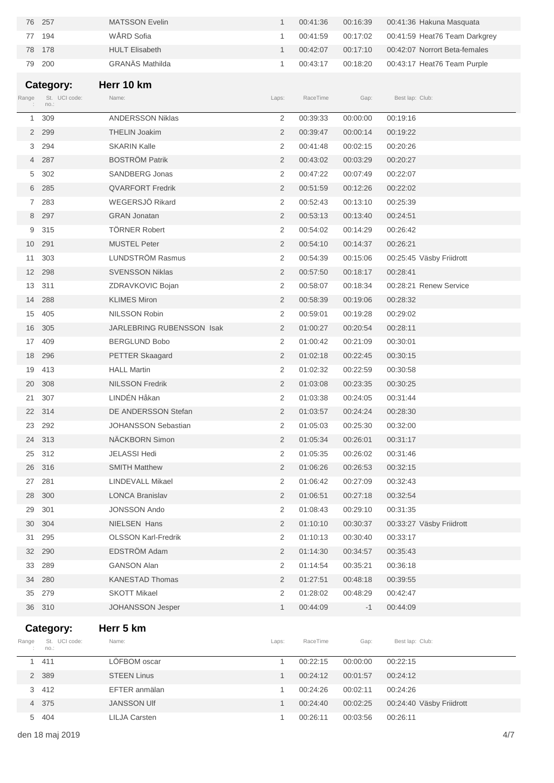| 76             | 257                        | <b>MATSSON Evelin</b>      | $\mathbf{1}$   | 00:41:36 | 00:16:39 |                 | 00:41:36 Hakuna Masquata      |
|----------------|----------------------------|----------------------------|----------------|----------|----------|-----------------|-------------------------------|
| 77             | 194                        | WÅRD Sofia                 | 1              | 00:41:59 | 00:17:02 |                 | 00:41:59 Heat76 Team Darkgrey |
| 78             | 178                        | <b>HULT Elisabeth</b>      | $\mathbf{1}$   | 00:42:07 | 00:17:10 |                 | 00:42:07 Norrort Beta-females |
| 79             | 200                        | <b>GRANÄS Mathilda</b>     | $\mathbf{1}$   | 00:43:17 | 00:18:20 |                 | 00:43:17 Heat76 Team Purple   |
|                |                            |                            |                |          |          |                 |                               |
|                | Category:<br>St. UCI code: | Herr 10 km<br>Name:        |                |          |          |                 |                               |
| Range          | no.:                       |                            | Laps:          | RaceTime | Gap:     | Best lap: Club: |                               |
| 1              | 309                        | <b>ANDERSSON Niklas</b>    | 2              | 00:39:33 | 00:00:00 | 00:19:16        |                               |
|                | 2 299                      | <b>THELIN Joakim</b>       | $\overline{2}$ | 00:39:47 | 00:00:14 | 00:19:22        |                               |
| 3              | 294                        | <b>SKARIN Kalle</b>        | 2              | 00:41:48 | 00:02:15 | 00:20:26        |                               |
| $\overline{4}$ | 287                        | <b>BOSTRÖM Patrik</b>      | $\overline{2}$ | 00:43:02 | 00:03:29 | 00:20:27        |                               |
| 5              | 302                        | <b>SANDBERG Jonas</b>      | 2              | 00:47:22 | 00:07:49 | 00:22:07        |                               |
| 6              | 285                        | <b>QVARFORT Fredrik</b>    | $\overline{2}$ | 00:51:59 | 00:12:26 | 00:22:02        |                               |
| $7^{\circ}$    | 283                        | WEGERSJÖ Rikard            | 2              | 00:52:43 | 00:13:10 | 00:25:39        |                               |
|                | 8 297                      | <b>GRAN Jonatan</b>        | $\overline{2}$ | 00:53:13 | 00:13:40 | 00:24:51        |                               |
| 9              | 315                        | <b>TÖRNER Robert</b>       | 2              | 00:54:02 | 00:14:29 | 00:26:42        |                               |
| 10             | 291                        | <b>MUSTEL Peter</b>        | $\overline{2}$ | 00:54:10 | 00:14:37 | 00:26:21        |                               |
| 11             | 303                        | LUNDSTRÖM Rasmus           | 2              | 00:54:39 | 00:15:06 |                 | 00:25:45 Väsby Friidrott      |
| 12             | 298                        | <b>SVENSSON Niklas</b>     | $\overline{2}$ | 00:57:50 | 00:18:17 | 00:28:41        |                               |
| 13             | 311                        | ZDRAVKOVIC Bojan           | 2              | 00:58:07 | 00:18:34 |                 | 00:28:21 Renew Service        |
| 14             | 288                        | <b>KLIMES Miron</b>        | $\overline{2}$ | 00:58:39 | 00:19:06 | 00:28:32        |                               |
| 15             | 405                        | <b>NILSSON Robin</b>       | 2              | 00:59:01 | 00:19:28 | 00:29:02        |                               |
| 16             | 305                        | JARLEBRING RUBENSSON Isak  | $\overline{2}$ | 01:00:27 | 00:20:54 | 00:28:11        |                               |
| 17             | 409                        | <b>BERGLUND Bobo</b>       | 2              | 01:00:42 | 00:21:09 | 00:30:01        |                               |
| 18             | 296                        | <b>PETTER Skaagard</b>     | $\overline{2}$ | 01:02:18 | 00:22:45 | 00:30:15        |                               |
| 19             | 413                        | <b>HALL Martin</b>         | 2              | 01:02:32 | 00:22:59 | 00:30:58        |                               |
| 20             | 308                        | <b>NILSSON Fredrik</b>     | 2              | 01:03:08 | 00:23:35 | 00:30:25        |                               |
| 21             | 307                        | LINDÉN Håkan               | 2              | 01:03:38 | 00:24:05 | 00:31:44        |                               |
| 22             | 314                        | DE ANDERSSON Stefan        | $\overline{2}$ | 01:03:57 | 00:24:24 | 00:28:30        |                               |
| 23             | 292                        | <b>JOHANSSON Sebastian</b> | 2              | 01:05:03 | 00:25:30 | 00:32:00        |                               |
|                | 24 313                     | NÄCKBORN Simon             | 2              | 01:05:34 | 00:26:01 | 00:31:17        |                               |
| 25             | 312                        | <b>JELASSI Hedi</b>        | 2              | 01:05:35 | 00:26:02 | 00:31:46        |                               |
| 26             | 316                        | <b>SMITH Matthew</b>       | 2              | 01:06:26 | 00:26:53 | 00:32:15        |                               |
| 27             | 281                        | LINDEVALL Mikael           | 2              | 01:06:42 | 00:27:09 | 00:32:43        |                               |
| 28             | 300                        | <b>LONCA Branislav</b>     | 2              | 01:06:51 | 00:27:18 | 00:32:54        |                               |
| 29             | 301                        | <b>JONSSON Ando</b>        | 2              | 01:08:43 | 00:29:10 | 00:31:35        |                               |
| 30             | 304                        | NIELSEN Hans               | 2              | 01:10:10 | 00:30:37 |                 | 00:33:27 Väsby Friidrott      |
| 31             | 295                        | <b>OLSSON Karl-Fredrik</b> | 2              | 01:10:13 | 00:30:40 | 00:33:17        |                               |
| 32             | 290                        | <b>EDSTRÖM Adam</b>        | 2              | 01:14:30 | 00:34:57 | 00:35:43        |                               |
| 33             | 289                        | <b>GANSON Alan</b>         | 2              | 01:14:54 | 00:35:21 | 00:36:18        |                               |
| 34             | 280                        | <b>KANESTAD Thomas</b>     | 2              | 01:27:51 | 00:48:18 | 00:39:55        |                               |
| 35             | 279                        | <b>SKOTT Mikael</b>        | 2              | 01:28:02 | 00:48:29 | 00:42:47        |                               |
|                | 36 310                     | JOHANSSON Jesper           | $\mathbf{1}$   | 00:44:09 | $-1$     | 00:44:09        |                               |
|                |                            |                            |                |          |          |                 |                               |
| Range          | Category:<br>St. UCI code: | Herr 5 km<br>Name:         | Laps:          | RaceTime | Gap:     | Best lap: Club: |                               |
|                | no.:                       |                            |                |          |          |                 |                               |
| $\mathbf{1}$   | 411                        | LÖFBOM oscar               | 1              | 00:22:15 | 00:00:00 | 00:22:15        |                               |
| $\overline{2}$ | 389                        | <b>STEEN Linus</b>         | $\mathbf{1}$   | 00:24:12 | 00:01:57 | 00:24:12        |                               |
| 3              | 412                        | EFTER anmälan              | 1              | 00:24:26 | 00:02:11 | 00:24:26        |                               |
| $\overline{4}$ | 375                        | <b>JANSSON UIf</b>         | $\mathbf{1}$   | 00:24:40 | 00:02:25 |                 | 00:24:40 Väsby Friidrott      |
| 5              | 404                        | <b>LILJA Carsten</b>       | 1              | 00:26:11 | 00:03:56 | 00:26:11        |                               |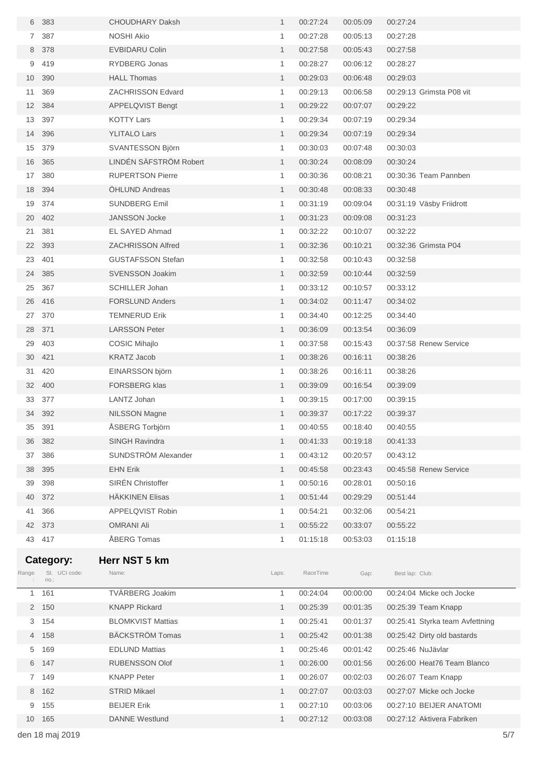| 6              | 383                   | <b>CHOUDHARY Daksh</b>           | $\mathbf{1}$      | 00:27:24             | 00:05:09 | 00:27:24                        |     |
|----------------|-----------------------|----------------------------------|-------------------|----------------------|----------|---------------------------------|-----|
| $\overline{7}$ | 387                   | <b>NOSHI Akio</b>                | 1                 | 00:27:28             | 00:05:13 | 00:27:28                        |     |
| 8              | 378                   | <b>EVBIDARU Colin</b>            | $\mathbf{1}$      | 00:27:58             | 00:05:43 | 00:27:58                        |     |
| 9              | 419                   | RYDBERG Jonas                    | 1                 | 00:28:27             | 00:06:12 | 00:28:27                        |     |
| 10             | 390                   | <b>HALL Thomas</b>               | $\mathbf{1}$      | 00:29:03             | 00:06:48 | 00:29:03                        |     |
| 11             | 369                   | <b>ZACHRISSON Edvard</b>         | 1                 | 00:29:13             | 00:06:58 | 00:29:13 Grimsta P08 vit        |     |
| 12             | 384                   | APPELQVIST Bengt                 | $\mathbf{1}$      | 00:29:22             | 00:07:07 | 00:29:22                        |     |
| 13             | 397                   | <b>KOTTY Lars</b>                | 1                 | 00:29:34             | 00:07:19 | 00:29:34                        |     |
| 14             | 396                   | <b>YLITALO Lars</b>              | $\mathbf{1}$      | 00:29:34             | 00:07:19 | 00:29:34                        |     |
| 15             | 379                   | SVANTESSON Björn                 | 1                 | 00:30:03             | 00:07:48 | 00:30:03                        |     |
| 16             | 365                   | LINDÉN SÄFSTRÖM Robert           | $\mathbf{1}$      | 00:30:24             | 00:08:09 | 00:30:24                        |     |
| 17             | 380                   | <b>RUPERTSON Pierre</b>          | 1                 | 00:30:36             | 00:08:21 | 00:30:36 Team Pannben           |     |
| 18             | 394                   | <b>OHLUND Andreas</b>            | $\mathbf{1}$      | 00:30:48             | 00:08:33 | 00:30:48                        |     |
| 19             | 374                   | <b>SUNDBERG Emil</b>             | 1                 | 00:31:19             | 00:09:04 | 00:31:19 Väsby Friidrott        |     |
| 20             | 402                   | <b>JANSSON Jocke</b>             | $\mathbf{1}$      | 00:31:23             | 00:09:08 | 00:31:23                        |     |
| 21             | 381                   | EL SAYED Ahmad                   | 1                 | 00:32:22             | 00:10:07 | 00:32:22                        |     |
| 22             | 393                   | <b>ZACHRISSON Alfred</b>         | $\mathbf{1}$      | 00:32:36             | 00:10:21 | 00:32:36 Grimsta P04            |     |
| 23             | 401                   | <b>GUSTAFSSON Stefan</b>         | 1                 | 00:32:58             | 00:10:43 | 00:32:58                        |     |
| 24             | 385                   | <b>SVENSSON Joakim</b>           | $\mathbf{1}$      | 00:32:59             | 00:10:44 | 00:32:59                        |     |
| 25             | 367                   | <b>SCHILLER Johan</b>            | 1                 | 00:33:12             | 00:10:57 | 00:33:12                        |     |
| 26             | 416                   | <b>FORSLUND Anders</b>           | $\mathbf{1}$      | 00:34:02             | 00:11:47 | 00:34:02                        |     |
| 27             | 370                   | <b>TEMNERUD Erik</b>             | 1                 | 00:34:40             | 00:12:25 | 00:34:40                        |     |
| 28             | 371                   | <b>LARSSON Peter</b>             | $\mathbf{1}$      | 00:36:09             | 00:13:54 | 00:36:09                        |     |
| 29             | 403                   | COSIC Mihajlo                    | 1                 | 00:37:58             | 00:15:43 | 00:37:58 Renew Service          |     |
| 30             | 421                   | <b>KRATZ Jacob</b>               | $\mathbf{1}$      | 00:38:26             | 00:16:11 | 00:38:26                        |     |
| 31             | 420                   | EINARSSON björn                  | 1                 | 00:38:26             | 00:16:11 | 00:38:26                        |     |
| 32             | 400                   | <b>FORSBERG klas</b>             | $\mathbf{1}$      | 00:39:09             | 00:16:54 | 00:39:09                        |     |
| 33             | 377                   | LANTZ Johan                      | 1                 | 00:39:15             | 00:17:00 | 00:39:15                        |     |
| 34             | 392                   | <b>NILSSON Magne</b>             | $\mathbf{1}$      | 00:39:37             | 00:17:22 | 00:39:37                        |     |
| 35             | 391                   | ÅSBERG Torbjörn                  | 1                 | 00:40:55             | 00:18:40 | 00:40:55                        |     |
| 36             | 382                   | <b>SINGH Ravindra</b>            | 1                 | 00:41:33             | 00:19:18 | 00:41:33                        |     |
| 37             | 386                   | SUNDSTRÖM Alexander              | 1                 | 00:43:12             | 00:20:57 | 00:43:12                        |     |
| 38             | 395                   | <b>EHN Erik</b>                  | $\mathbf{1}$      | 00:45:58             | 00:23:43 | 00:45:58 Renew Service          |     |
| 39             | 398                   | SIRÉN Christoffer                | 1                 | 00:50:16             | 00:28:01 | 00:50:16                        |     |
| 40             | 372                   | <b>HÄKKINEN Elisas</b>           | $\mathbf{1}$      |                      |          |                                 |     |
|                | 366                   | APPELQVIST Robin                 |                   | 00:51:44             | 00:29:29 | 00:51:44<br>00:54:21            |     |
| 41             | 373                   |                                  | 1                 | 00:54:21             | 00:32:06 |                                 |     |
| 42             |                       | <b>OMRANI Ali</b><br>ÅBERG Tomas | $\mathbf{1}$<br>1 | 00:55:22             | 00:33:07 | 00:55:22<br>01:15:18            |     |
|                | 43 417                |                                  |                   | 01:15:18             | 00:53:03 |                                 |     |
|                | Category:             | Herr NST 5 km                    |                   |                      |          |                                 |     |
| Range          | St. UCI code:<br>no.: | Name:                            | Laps:             | RaceTime             | Gap:     | Best lap: Club:                 |     |
| 1              | 161                   | TVÄRBERG Joakim                  | 1                 | 00:24:04             | 00:00:00 | 00:24:04 Micke och Jocke        |     |
| $\overline{2}$ | 150                   | <b>KNAPP Rickard</b>             | $\mathbf{1}$      | 00:25:39             | 00:01:35 | 00:25:39 Team Knapp             |     |
| 3              | 154                   | <b>BLOMKVIST Mattias</b>         | 1                 | 00:25:41             | 00:01:37 | 00:25:41 Styrka team Avfettning |     |
| 4              | 158                   | BÄCKSTRÖM Tomas                  | $\mathbf{1}$      | 00:25:42             | 00:01:38 | 00:25:42 Dirty old bastards     |     |
| 5              | 169                   | <b>EDLUND Mattias</b>            | 1                 | 00:25:46             | 00:01:42 | 00:25:46 NuJävlar               |     |
| 6              | 147                   | <b>RUBENSSON Olof</b>            | $\mathbf{1}$      | 00:26:00             | 00:01:56 | 00:26:00 Heat76 Team Blanco     |     |
|                | 7 149                 | <b>KNAPP Peter</b>               | 1                 | 00:26:07             | 00:02:03 | 00:26:07 Team Knapp             |     |
| 8              | 162                   | <b>STRID Mikael</b>              | $\mathbf{1}$      |                      | 00:03:03 | 00:27:07 Micke och Jocke        |     |
| 9              | 155                   | <b>BEIJER Erik</b>               |                   | 00:27:07<br>00:27:10 | 00:03:06 | 00:27:10 BEIJER ANATOMI         |     |
|                |                       |                                  | 1<br>$\mathbf{1}$ |                      |          | 00:27:12 Aktivera Fabriken      |     |
| 10             | 165                   | <b>DANNE</b> Westlund            |                   | 00:27:12             | 00:03:08 |                                 |     |
|                | den 18 maj 2019       |                                  |                   |                      |          |                                 | 5/7 |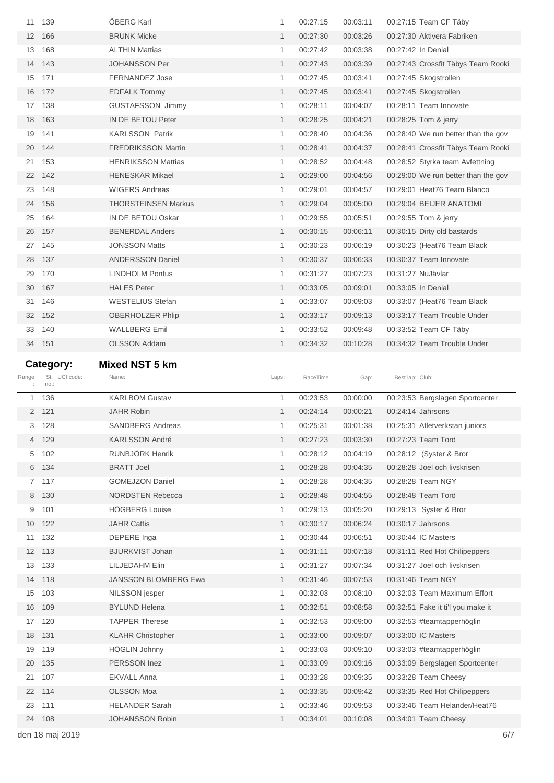| 11    | 139                   | <b>OBERG Karl</b>          | $\mathbf{1}$ | 00:27:15 | 00:03:11 | 00:27:15 Team CF Täby               |
|-------|-----------------------|----------------------------|--------------|----------|----------|-------------------------------------|
| 12    | 166                   | <b>BRUNK Micke</b>         | $\mathbf{1}$ | 00:27:30 | 00:03:26 | 00:27:30 Aktivera Fabriken          |
| 13    | 168                   | <b>ALTHIN Mattias</b>      | 1            | 00:27:42 | 00:03:38 | 00:27:42 In Denial                  |
| 14    | 143                   | <b>JOHANSSON Per</b>       | $\mathbf{1}$ | 00:27:43 | 00:03:39 | 00:27:43 Crossfit Täbys Team Rooki  |
| 15    | 171                   | <b>FERNANDEZ Jose</b>      | 1            | 00:27:45 | 00:03:41 | 00:27:45 Skogstrollen               |
| 16    | 172                   | <b>EDFALK Tommy</b>        | $\mathbf{1}$ | 00:27:45 | 00:03:41 | 00:27:45 Skogstrollen               |
| 17    | 138                   | <b>GUSTAFSSON Jimmy</b>    | 1            | 00:28:11 | 00:04:07 | 00:28:11 Team Innovate              |
| 18    | 163                   | IN DE BETOU Peter          | $\mathbf{1}$ | 00:28:25 | 00:04:21 | 00:28:25 Tom & jerry                |
| 19    | 141                   | <b>KARLSSON Patrik</b>     | 1            | 00:28:40 | 00:04:36 | 00:28:40 We run better than the gov |
| 20    | 144                   | <b>FREDRIKSSON Martin</b>  | $\mathbf{1}$ | 00:28:41 | 00:04:37 | 00:28:41 Crossfit Täbys Team Rooki  |
| 21    | 153                   | <b>HENRIKSSON Mattias</b>  | 1            | 00:28:52 | 00:04:48 | 00:28:52 Styrka team Avfettning     |
| 22    | 142                   | <b>HENESKÄR Mikael</b>     | $\mathbf{1}$ | 00:29:00 | 00:04:56 | 00:29:00 We run better than the gov |
| 23    | 148                   | <b>WIGERS Andreas</b>      | 1            | 00:29:01 | 00:04:57 | 00:29:01 Heat76 Team Blanco         |
| 24    | 156                   | <b>THORSTEINSEN Markus</b> | $\mathbf{1}$ | 00:29:04 | 00:05:00 | 00:29:04 BEIJER ANATOMI             |
| 25    | 164                   | IN DE BETOU Oskar          | 1            | 00:29:55 | 00:05:51 | 00:29:55 Tom & jerry                |
| 26    | 157                   | <b>BENERDAL Anders</b>     | $\mathbf{1}$ | 00:30:15 | 00:06:11 | 00:30:15 Dirty old bastards         |
| 27    | - 145                 | <b>JONSSON Matts</b>       | 1            | 00:30:23 | 00:06:19 | 00:30:23 (Heat76 Team Black         |
| 28    | 137                   | <b>ANDERSSON Daniel</b>    | $\mathbf{1}$ | 00:30:37 | 00:06:33 | 00:30:37 Team Innovate              |
| 29    | 170                   | <b>LINDHOLM Pontus</b>     | 1            | 00:31:27 | 00:07:23 | 00:31:27 NuJävlar                   |
| 30    | 167                   | <b>HALES Peter</b>         | $\mathbf{1}$ | 00:33:05 | 00:09:01 | 00:33:05 In Denial                  |
| 31    | 146                   | WESTELIUS Stefan           | 1            | 00:33:07 | 00:09:03 | 00:33:07 (Heat76 Team Black         |
| 32    | 152                   | <b>OBERHOLZER Phlip</b>    | $\mathbf{1}$ | 00:33:17 | 00:09:13 | 00:33:17 Team Trouble Under         |
| 33    | 140                   | WALLBERG Emil              | 1            | 00:33:52 | 00:09:48 | 00:33:52 Team CF Täby               |
|       | 34 151                | <b>OLSSON Addam</b>        | $\mathbf{1}$ | 00:34:32 | 00:10:28 | 00:34:32 Team Trouble Under         |
|       |                       |                            |              |          |          |                                     |
|       |                       |                            |              |          |          |                                     |
|       | Category:             | <b>Mixed NST 5 km</b>      |              |          |          |                                     |
| Range | St. UCI code:<br>no.: | Name:                      | Laps:        | RaceTime | Gap:     | Best lap: Club:                     |
| 1     | 136                   | <b>KARLBOM Gustav</b>      | 1            | 00:23:53 | 00:00:00 | 00:23:53 Bergslagen Sportcenter     |
|       | 2 121                 | <b>JAHR Robin</b>          | $\mathbf{1}$ | 00:24:14 | 00:00:21 | 00:24:14 Jahrsons                   |
| 3     | 128                   | <b>SANDBERG Andreas</b>    | 1            | 00:25:31 | 00:01:38 | 00:25:31 Atletverkstan juniors      |
|       | 4 129                 | <b>KARLSSON André</b>      | 1            | 00:27:23 | 00:03:30 | 00:27:23 Team Torö                  |
| 5     | 102                   | RUNBJÖRK Henrik            | 1            | 00:28:12 | 00:04:19 | 00:28:12 (Syster & Bror             |
|       | 6 134                 | <b>BRATT Joel</b>          | $\mathbf{1}$ | 00:28:28 | 00:04:35 | 00:28:28 Joel och livskrisen        |
|       | 7 117                 | <b>GOMEJZON Daniel</b>     | 1            | 00:28:28 | 00:04:35 | 00:28:28 Team NGY                   |
|       | 8 130                 | <b>NORDSTEN Rebecca</b>    | $\mathbf{1}$ | 00:28:48 | 00:04:55 | 00:28:48 Team Torö                  |
| 9     | 101                   | <b>HÖGBERG Louise</b>      | 1            | 00:29:13 | 00:05:20 | 00:29:13 Syster & Bror              |
| 10    | 122                   | <b>JAHR Cattis</b>         | $\mathbf{1}$ | 00:30:17 | 00:06:24 | 00:30:17 Jahrsons                   |
| 11    | 132                   | DEPERE Inga                | 1            | 00:30:44 | 00:06:51 | 00:30:44 IC Masters                 |
| 12    | 113                   | <b>BJURKVIST Johan</b>     | $\mathbf{1}$ | 00:31:11 | 00:07:18 | 00:31:11 Red Hot Chilipeppers       |
| 13    | 133                   | LILJEDAHM Elin             | 1            | 00:31:27 | 00:07:34 | 00:31:27 Joel och livskrisen        |
| 14    | 118                   | JANSSON BLOMBERG Ewa       | $\mathbf{1}$ | 00:31:46 | 00:07:53 | 00:31:46 Team NGY                   |
| 15    | 103                   | NILSSON jesper             | 1            | 00:32:03 | 00:08:10 | 00:32:03 Team Maximum Effort        |
| 16    | 109                   | <b>BYLUND Helena</b>       | $\mathbf{1}$ | 00:32:51 | 00:08:58 | 00:32:51 Fake it ti'l you make it   |
| 17    | 120                   | <b>TAPPER Therese</b>      | 1            | 00:32:53 | 00:09:00 | 00:32:53 #teamtapperhöglin          |
| 18    | 131                   | <b>KLAHR Christopher</b>   | $\mathbf{1}$ | 00:33:00 | 00:09:07 | 00:33:00 IC Masters                 |
| 19    | 119                   | HÖGLIN Johnny              | 1            | 00:33:03 | 00:09:10 | 00:33:03 #teamtapperhöglin          |
| 20    | 135                   | PERSSON Inez               | $\mathbf{1}$ | 00:33:09 | 00:09:16 | 00:33:09 Bergslagen Sportcenter     |
| 21    | 107                   | <b>EKVALL Anna</b>         | 1            | 00:33:28 | 00:09:35 | 00:33:28 Team Cheesy                |
| 22    | 114                   | <b>OLSSON Moa</b>          | $\mathbf{1}$ | 00:33:35 | 00:09:42 | 00:33:35 Red Hot Chilipeppers       |
| 23    | 111                   | <b>HELANDER Sarah</b>      | 1            | 00:33:46 | 00:09:53 | 00:33:46 Team Helander/Heat76       |